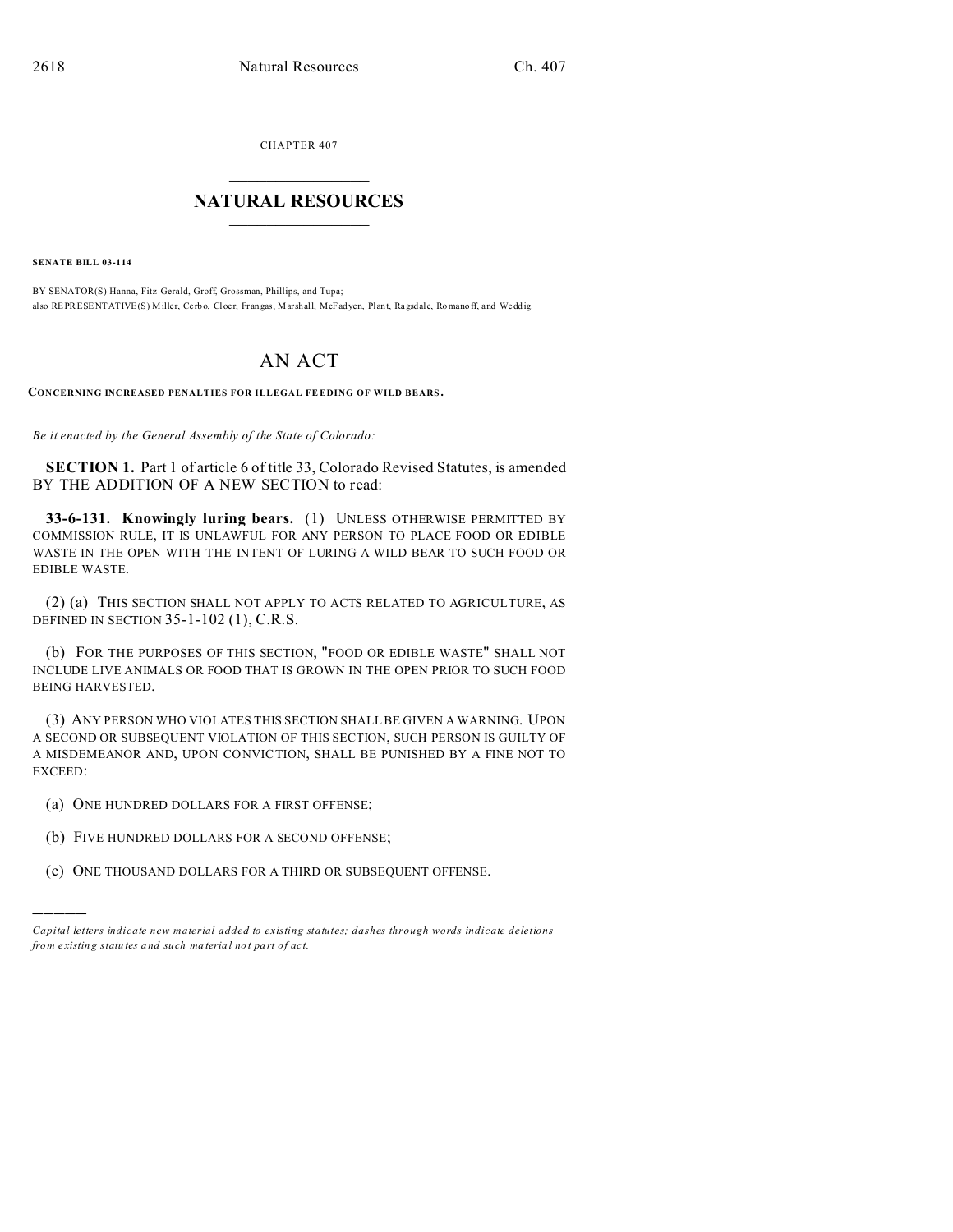CHAPTER 407  $\overline{\phantom{a}}$  , where  $\overline{\phantom{a}}$ 

## **NATURAL RESOURCES**  $\frac{1}{\sqrt{2}}$  ,  $\frac{1}{\sqrt{2}}$  ,  $\frac{1}{\sqrt{2}}$  ,  $\frac{1}{\sqrt{2}}$  ,  $\frac{1}{\sqrt{2}}$  ,  $\frac{1}{\sqrt{2}}$

**SENATE BILL 03-114**

)))))

BY SENATOR(S) Hanna, Fitz-Gerald, Groff, Grossman, Phillips, and Tupa; also REPRESENTATIVE(S) Miller, Cerbo, Cloer, Frangas, Marshall, McFadyen, Plant, Ragsdale, Romano ff, and Weddig.

## AN ACT

**CONCERNING INCREASED PENALTIES FOR ILLEGAL FEEDING OF WILD BEARS .**

*Be it enacted by the General Assembly of the State of Colorado:*

**SECTION 1.** Part 1 of article 6 of title 33, Colorado Revised Statutes, is amended BY THE ADDITION OF A NEW SECTION to read:

**33-6-131. Knowingly luring bears.** (1) UNLESS OTHERWISE PERMITTED BY COMMISSION RULE, IT IS UNLAWFUL FOR ANY PERSON TO PLACE FOOD OR EDIBLE WASTE IN THE OPEN WITH THE INTENT OF LURING A WILD BEAR TO SUCH FOOD OR EDIBLE WASTE.

(2) (a) THIS SECTION SHALL NOT APPLY TO ACTS RELATED TO AGRICULTURE, AS DEFINED IN SECTION 35-1-102 (1), C.R.S.

(b) FOR THE PURPOSES OF THIS SECTION, "FOOD OR EDIBLE WASTE" SHALL NOT INCLUDE LIVE ANIMALS OR FOOD THAT IS GROWN IN THE OPEN PRIOR TO SUCH FOOD BEING HARVESTED.

(3) ANY PERSON WHO VIOLATES THIS SECTION SHALL BE GIVEN A WARNING. UPON A SECOND OR SUBSEQUENT VIOLATION OF THIS SECTION, SUCH PERSON IS GUILTY OF A MISDEMEANOR AND, UPON CONVICTION, SHALL BE PUNISHED BY A FINE NOT TO EXCEED:

- (a) ONE HUNDRED DOLLARS FOR A FIRST OFFENSE;
- (b) FIVE HUNDRED DOLLARS FOR A SECOND OFFENSE;
- (c) ONE THOUSAND DOLLARS FOR A THIRD OR SUBSEQUENT OFFENSE.

*Capital letters indicate new material added to existing statutes; dashes through words indicate deletions from e xistin g statu tes a nd such ma teria l no t pa rt of ac t.*